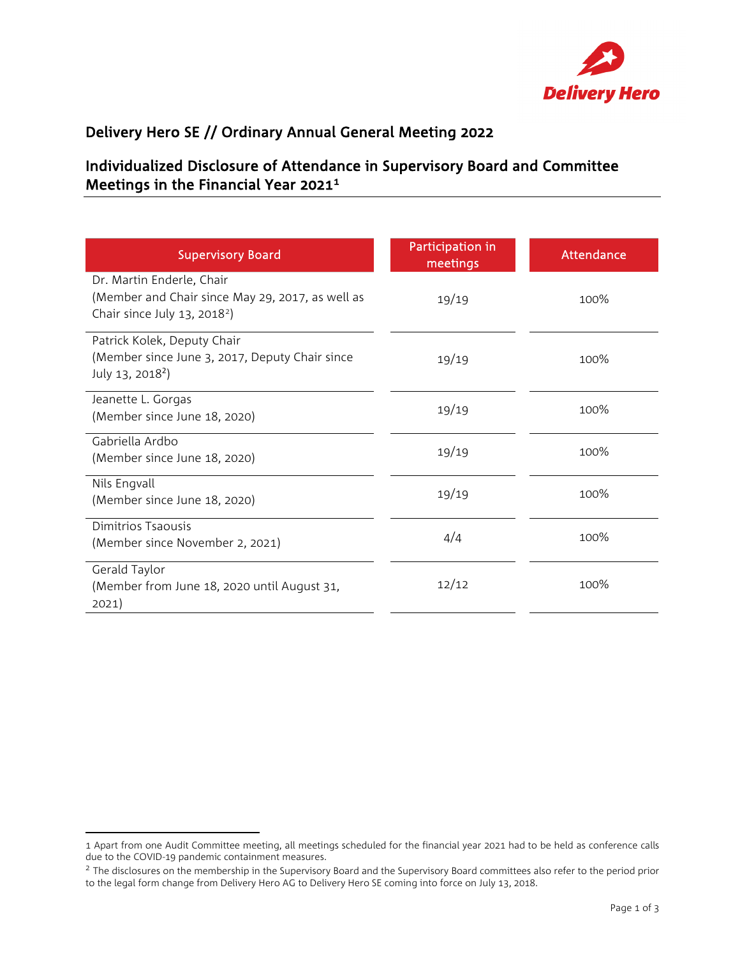

## Delivery Hero SE // Ordinary Annual General Meeting 2022

## Individualized Disclosure of Attendance in Supervisory Board and Committee Meetings in the Financial Year 2021[1](#page-0-0)

| <b>Supervisory Board</b>                                                                                                  | Participation in<br>meetings | Attendance |
|---------------------------------------------------------------------------------------------------------------------------|------------------------------|------------|
| Dr. Martin Enderle, Chair<br>(Member and Chair since May 29, 2017, as well as<br>Chair since July 13, 2018 <sup>2</sup> ) | 19/19                        | 100%       |
| Patrick Kolek, Deputy Chair<br>(Member since June 3, 2017, Deputy Chair since<br>July 13, 2018 <sup>2</sup> )             | 19/19                        | 100%       |
| Jeanette L. Gorgas<br>(Member since June 18, 2020)                                                                        | 19/19                        | 100%       |
| Gabriella Ardbo<br>(Member since June 18, 2020)                                                                           | 19/19                        | 100%       |
| Nils Engvall<br>(Member since June 18, 2020)                                                                              | 19/19                        | 100%       |
| Dimitrios Tsaousis<br>(Member since November 2, 2021)                                                                     | 4/4                          | 100%       |
| Gerald Taylor<br>(Member from June 18, 2020 until August 31,<br>2021)                                                     | 12/12                        | 100%       |

<span id="page-0-0"></span><sup>1</sup> Apart from one Audit Committee meeting, all meetings scheduled for the financial year 2021 had to be held as conference calls due to the COVID-19 pandemic containment measures.

<span id="page-0-1"></span><sup>&</sup>lt;sup>2</sup> The disclosures on the membership in the Supervisory Board and the Supervisory Board committees also refer to the period prior to the legal form change from Delivery Hero AG to Delivery Hero SE coming into force on July 13, 2018.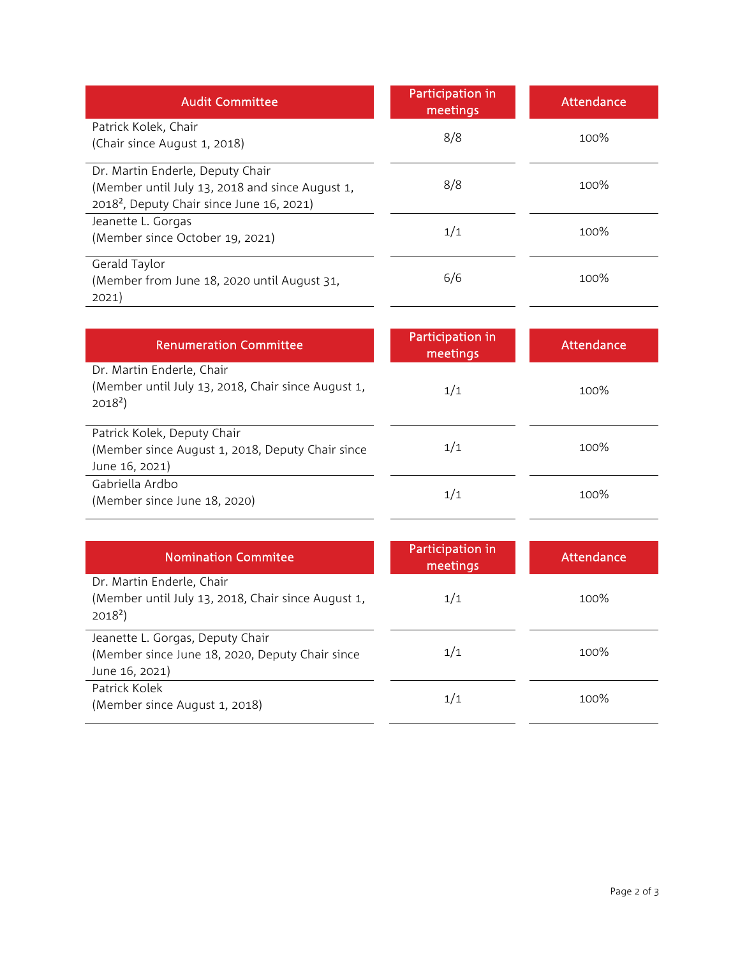| <b>Audit Committee</b>                                                                                                                       | Participation in<br>meetings | Attendance |
|----------------------------------------------------------------------------------------------------------------------------------------------|------------------------------|------------|
| Patrick Kolek, Chair<br>(Chair since August 1, 2018)                                                                                         | 8/8                          | 100%       |
| Dr. Martin Enderle, Deputy Chair<br>(Member until July 13, 2018 and since August 1,<br>2018 <sup>2</sup> , Deputy Chair since June 16, 2021) | 8/8                          | 100%       |
| Jeanette L. Gorgas<br>(Member since October 19, 2021)                                                                                        | 1/1                          | 100%       |
| Gerald Taylor<br>(Member from June 18, 2020 until August 31,<br>2021)                                                                        | 6/6                          | 100%       |

| <b>Renumeration Committee</b>                                                                         | Participation in<br>meetings | <b>Attendance</b> |
|-------------------------------------------------------------------------------------------------------|------------------------------|-------------------|
| Dr. Martin Enderle, Chair<br>(Member until July 13, 2018, Chair since August 1,<br>$2018^2$           | 1/1                          | 100%              |
| Patrick Kolek, Deputy Chair<br>(Member since August 1, 2018, Deputy Chair since<br>June 16, 2021)     | 1/1                          | 100%              |
| Gabriella Ardbo<br>(Member since June 18, 2020)                                                       | 1/1                          | 100%              |
|                                                                                                       |                              |                   |
| <b>Nomination Commitee</b>                                                                            | Participation in<br>meetings | <b>Attendance</b> |
| Dr. Martin Enderle, Chair<br>(Member until July 13, 2018, Chair since August 1,<br>$2018^2$           | 1/1                          | 100%              |
| Jeanette L. Gorgas, Deputy Chair<br>(Member since June 18, 2020, Deputy Chair since<br>June 16, 2021) | 1/1                          | 100%              |
|                                                                                                       |                              |                   |